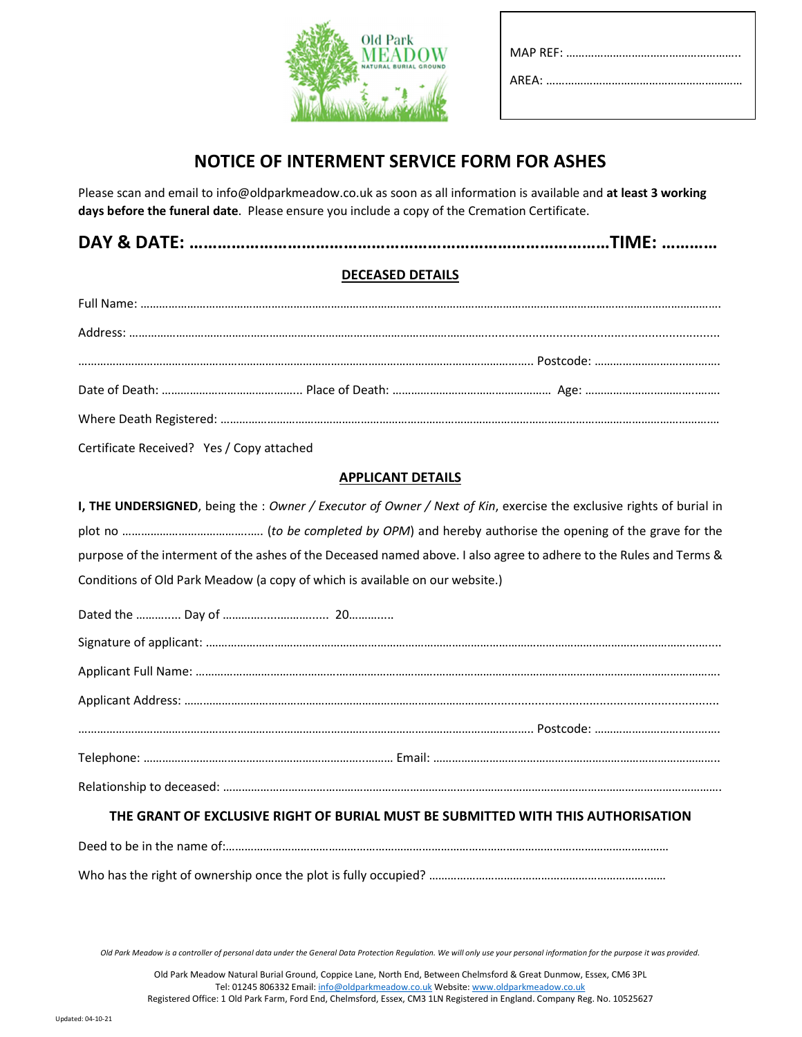

# NOTICE OF INTERMENT SERVICE FORM FOR ASHES

Please scan and email to info@oldparkmeadow.co.uk as soon as all information is available and at least 3 working days before the funeral date. Please ensure you include a copy of the Cremation Certificate.

## DECEASED DETAILS

| Certificate Received? Yes / Copy attached |  |  |
|-------------------------------------------|--|--|

## APPLICANT DETAILS

I, THE UNDERSIGNED, being the : Owner / Executor of Owner / Next of Kin, exercise the exclusive rights of burial in plot no …………………………………..…. (to be completed by OPM) and hereby authorise the opening of the grave for the purpose of the interment of the ashes of the Deceased named above. I also agree to adhere to the Rules and Terms & Conditions of Old Park Meadow (a copy of which is available on our website.)

## THE GRANT OF EXCLUSIVE RIGHT OF BURIAL MUST BE SUBMITTED WITH THIS AUTHORISATION

Deed to be in the name of:………………………………………………………………………………………………….………………………… Who has the right of ownership once the plot is fully occupied? …………………………………………………………….……

Old Park Meadow is a controller of personal data under the General Data Protection Regulation. We will only use your personal information for the purpose it was provided.